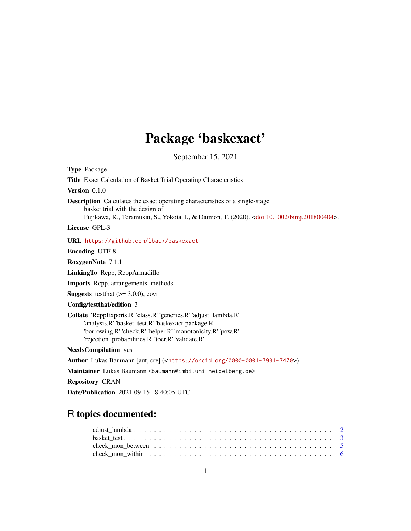# Package 'baskexact'

September 15, 2021

# R topics documented:

| check mon within $\ldots \ldots \ldots \ldots \ldots \ldots \ldots \ldots \ldots \ldots \ldots \ldots$ |  |
|--------------------------------------------------------------------------------------------------------|--|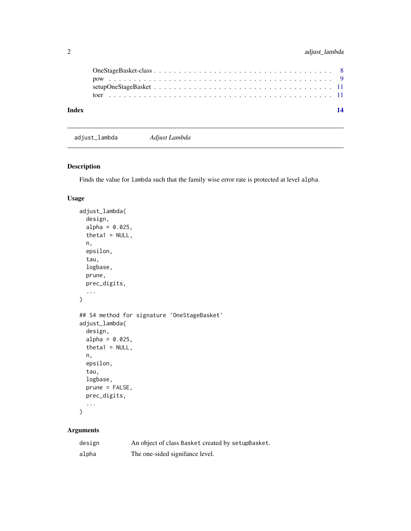<span id="page-1-0"></span>

| Index |  |  |  |  |  |  |  |  |  |  |  |  |  |  |  |  |  |  | 14 |
|-------|--|--|--|--|--|--|--|--|--|--|--|--|--|--|--|--|--|--|----|
|       |  |  |  |  |  |  |  |  |  |  |  |  |  |  |  |  |  |  |    |
|       |  |  |  |  |  |  |  |  |  |  |  |  |  |  |  |  |  |  |    |
|       |  |  |  |  |  |  |  |  |  |  |  |  |  |  |  |  |  |  |    |
|       |  |  |  |  |  |  |  |  |  |  |  |  |  |  |  |  |  |  |    |

adjust\_lambda *Adjust Lambda*

# Description

Finds the value for lambda such that the family wise error rate is protected at level alpha.

# Usage

```
adjust_lambda(
  design,
  alpha = 0.025,
  theta1 = NULL,n,
  epsilon,
  tau,
 logbase,
 prune,
 prec_digits,
  ...
)
## S4 method for signature 'OneStageBasket'
adjust_lambda(
 design,
  alpha = 0.025,
  theta1 = NULL,n,
  epsilon,
  tau,
  logbase,
 prune = FALSE,
 prec_digits,
  ...
)
```
# Arguments

| design | An object of class Basket created by setupBasket. |
|--------|---------------------------------------------------|
| alpha  | The one-sided signifance level.                   |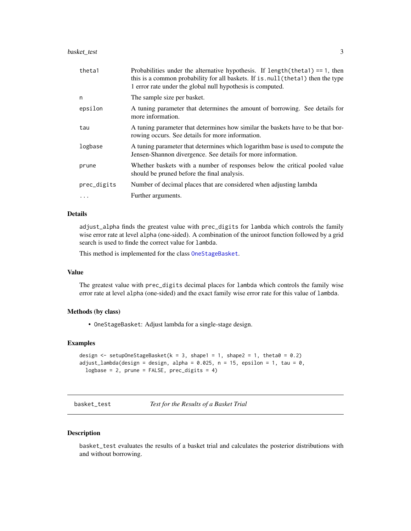# <span id="page-2-0"></span>basket\_test 3

| theta1      | Probabilities under the alternative hypothesis. If $length(theta1) == 1$ , then<br>this is a common probability for all baskets. If is . null (thetal) then the type<br>1 error rate under the global null hypothesis is computed. |
|-------------|------------------------------------------------------------------------------------------------------------------------------------------------------------------------------------------------------------------------------------|
| n           | The sample size per basket.                                                                                                                                                                                                        |
| epsilon     | A tuning parameter that determines the amount of borrowing. See details for<br>more information.                                                                                                                                   |
| tau         | A tuning parameter that determines how similar the baskets have to be that bor-<br>rowing occurs. See details for more information.                                                                                                |
| logbase     | A tuning parameter that determines which logarithm base is used to compute the<br>Jensen-Shannon divergence. See details for more information.                                                                                     |
| prune       | Whether baskets with a number of responses below the critical pooled value<br>should be pruned before the final analysis.                                                                                                          |
| prec_digits | Number of decimal places that are considered when adjusting lambda                                                                                                                                                                 |
| .           | Further arguments.                                                                                                                                                                                                                 |

# Details

adjust\_alpha finds the greatest value with prec\_digits for lambda which controls the family wise error rate at level alpha (one-sided). A combination of the uniroot function followed by a grid search is used to finde the correct value for lambda.

This method is implemented for the class [OneStageBasket](#page-7-1).

#### Value

The greatest value with prec\_digits decimal places for lambda which controls the family wise error rate at level alpha (one-sided) and the exact family wise error rate for this value of lambda.

#### Methods (by class)

• OneStageBasket: Adjust lambda for a single-stage design.

### Examples

```
design \leq setupOneStageBasket(k = 3, shape1 = 1, shape2 = 1, theta0 = 0.2)
adjust_lambda(design = design, alpha = 0.025, n = 15, epsilon = 1, tau = 0,
 logbase = 2, prune = FALSE, prec_digits = 4)
```
basket\_test *Test for the Results of a Basket Trial*

#### Description

basket\_test evaluates the results of a basket trial and calculates the posterior distributions with and without borrowing.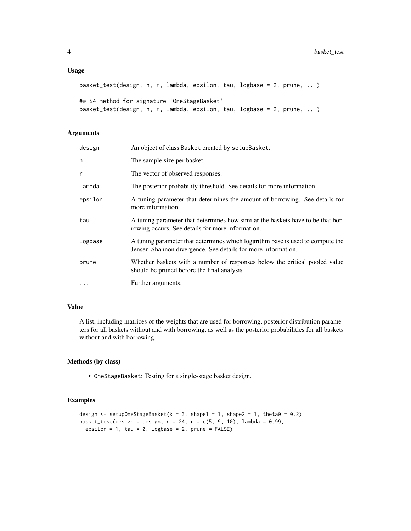#### Usage

```
basket_test(design, n, r, lambda, epsilon, tau, logbase = 2, prune, ...)
## S4 method for signature 'OneStageBasket'
basket_test(design, n, r, lambda, epsilon, tau, logbase = 2, prune, ...)
```
# Arguments

| design   | An object of class Basket created by setupBasket.                                                                                              |
|----------|------------------------------------------------------------------------------------------------------------------------------------------------|
| n        | The sample size per basket.                                                                                                                    |
| r        | The vector of observed responses.                                                                                                              |
| lambda   | The posterior probability threshold. See details for more information.                                                                         |
| epsilon  | A tuning parameter that determines the amount of borrowing. See details for<br>more information.                                               |
| tau      | A tuning parameter that determines how similar the baskets have to be that bor-<br>rowing occurs. See details for more information.            |
| logbase  | A tuning parameter that determines which logarithm base is used to compute the<br>Jensen-Shannon divergence. See details for more information. |
| prune    | Whether baskets with a number of responses below the critical pooled value<br>should be pruned before the final analysis.                      |
| $\cdots$ | Further arguments.                                                                                                                             |

# Value

A list, including matrices of the weights that are used for borrowing, posterior distribution parameters for all baskets without and with borrowing, as well as the posterior probabilities for all baskets without and with borrowing.

# Methods (by class)

• OneStageBasket: Testing for a single-stage basket design.

#### Examples

```
design \le setupOneStageBasket(k = 3, shape1 = 1, shape2 = 1, theta0 = 0.2)
basket_test(design = design, n = 24, r = c(5, 9, 10), lambda = 0.99,
  epsilon = 1, tau = 0, logbase = 2, prune = FALSE)
```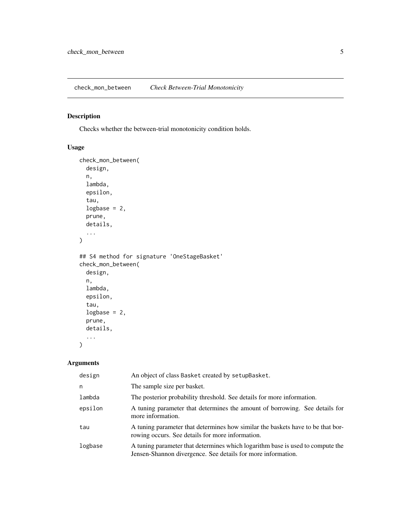<span id="page-4-0"></span>check\_mon\_between *Check Between-Trial Monotonicity*

# Description

Checks whether the between-trial monotonicity condition holds.

# Usage

```
check_mon_between(
  design,
  n,
  lambda,
  epsilon,
  tau,
  logbase = 2,
  prune,
  details,
  ...
\overline{\phantom{a}}## S4 method for signature 'OneStageBasket'
check_mon_between(
  design,
  n,
  lambda,
  epsilon,
  tau,
  logbase = 2,
  prune,
  details,
  ...
\mathcal{L}
```
# Arguments

| design  | An object of class Basket created by setupBasket.                                                                                              |
|---------|------------------------------------------------------------------------------------------------------------------------------------------------|
| n       | The sample size per basket.                                                                                                                    |
| lambda  | The posterior probability threshold. See details for more information.                                                                         |
| epsilon | A tuning parameter that determines the amount of borrowing. See details for<br>more information.                                               |
| tau     | A tuning parameter that determines how similar the baskets have to be that bor-<br>rowing occurs. See details for more information.            |
| logbase | A tuning parameter that determines which logarithm base is used to compute the<br>Jensen-Shannon divergence. See details for more information. |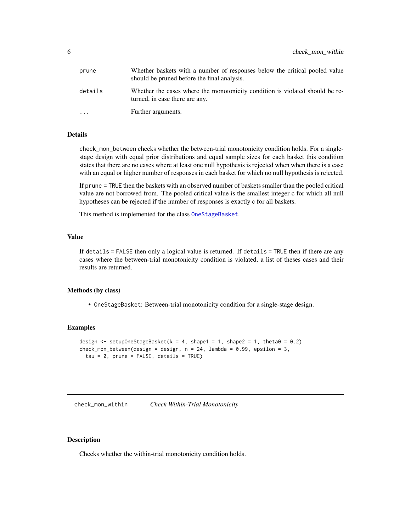<span id="page-5-0"></span>

| prune     | Whether baskets with a number of responses below the critical pooled value<br>should be pruned before the final analysis. |
|-----------|---------------------------------------------------------------------------------------------------------------------------|
| details   | Whether the cases where the monotonicity condition is violated should be re-<br>turned, in case there are any.            |
| $\ddotsc$ | Further arguments.                                                                                                        |

#### Details

check\_mon\_between checks whether the between-trial monotonicity condition holds. For a singlestage design with equal prior distributions and equal sample sizes for each basket this condition states that there are no cases where at least one null hypothesis is rejected when when there is a case with an equal or higher number of responses in each basket for which no null hypothesis is rejected.

If prune = TRUE then the baskets with an observed number of baskets smaller than the pooled critical value are not borrowed from. The pooled critical value is the smallest integer c for which all null hypotheses can be rejected if the number of responses is exactly c for all baskets.

This method is implemented for the class [OneStageBasket](#page-7-1).

#### Value

If details = FALSE then only a logical value is returned. If details = TRUE then if there are any cases where the between-trial monotonicity condition is violated, a list of theses cases and their results are returned.

#### Methods (by class)

• OneStageBasket: Between-trial monotonicity condition for a single-stage design.

# Examples

```
design \le setupOneStageBasket(k = 4, shape1 = 1, shape2 = 1, theta0 = 0.2)
check_mon_between(design = design, n = 24, lambda = 0.99, epsilon = 3,
 tau = 0, prune = FALSE, details = TRUE)
```
check\_mon\_within *Check Within-Trial Monotonicity*

# Description

Checks whether the within-trial monotonicity condition holds.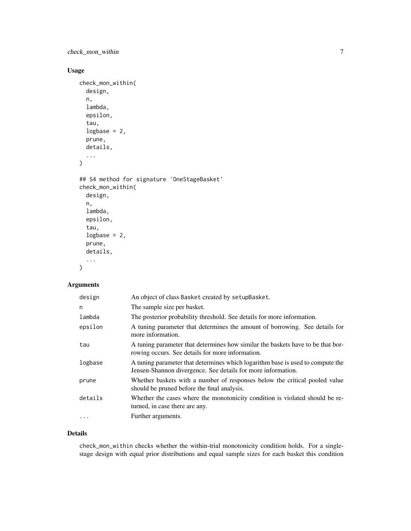check\_mon\_within 7

# Usage

```
check_mon_within(
  design,
  n,
  lambda,
  epsilon,
  tau,
  logbase = 2,
 prune,
 details,
  ...
)
## S4 method for signature 'OneStageBasket'
check_mon_within(
  design,
  n,
 lambda,
  epsilon,
  tau,
  logbase = 2,
 prune,
 details,
  ...
)
```
# Arguments

| design  | An object of class Basket created by setupBasket.                                                                                              |
|---------|------------------------------------------------------------------------------------------------------------------------------------------------|
| n       | The sample size per basket.                                                                                                                    |
| lambda  | The posterior probability threshold. See details for more information.                                                                         |
| epsilon | A tuning parameter that determines the amount of borrowing. See details for<br>more information.                                               |
| tau     | A tuning parameter that determines how similar the baskets have to be that bor-<br>rowing occurs. See details for more information.            |
| logbase | A tuning parameter that determines which logarithm base is used to compute the<br>Jensen-Shannon divergence. See details for more information. |
| prune   | Whether baskets with a number of responses below the critical pooled value<br>should be pruned before the final analysis.                      |
| details | Whether the cases where the monotonicity condition is violated should be re-<br>turned, in case there are any.                                 |
| .       | Further arguments.                                                                                                                             |

# Details

check\_mon\_within checks whether the within-trial monotonicity condition holds. For a singlestage design with equal prior distributions and equal sample sizes for each basket this condition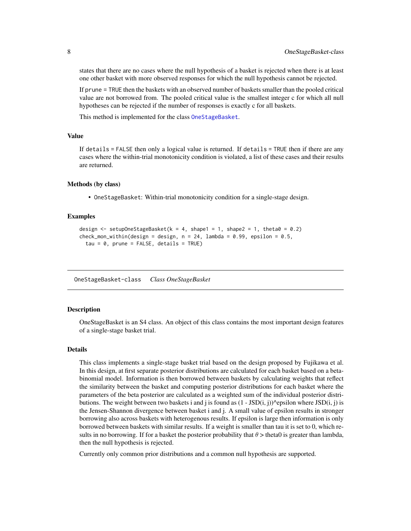<span id="page-7-0"></span>states that there are no cases where the null hypothesis of a basket is rejected when there is at least one other basket with more observed responses for which the null hypothesis cannot be rejected.

If prune = TRUE then the baskets with an observed number of baskets smaller than the pooled critical value are not borrowed from. The pooled critical value is the smallest integer c for which all null hypotheses can be rejected if the number of responses is exactly c for all baskets.

This method is implemented for the class [OneStageBasket](#page-7-1).

#### Value

If details = FALSE then only a logical value is returned. If details = TRUE then if there are any cases where the within-trial monotonicity condition is violated, a list of these cases and their results are returned.

#### Methods (by class)

• OneStageBasket: Within-trial monotonicity condition for a single-stage design.

#### Examples

```
design \le setupOneStageBasket(k = 4, shape1 = 1, shape2 = 1, theta0 = 0.2)
check_mon_within(design = design, n = 24, lambda = 0.99, epsilon = 0.5,
  tau = 0, prune = FALSE, details = TRUE)
```
OneStageBasket-class *Class OneStageBasket*

#### <span id="page-7-1"></span>Description

OneStageBasket is an S4 class. An object of this class contains the most important design features of a single-stage basket trial.

#### Details

This class implements a single-stage basket trial based on the design proposed by Fujikawa et al. In this design, at first separate posterior distributions are calculated for each basket based on a betabinomial model. Information is then borrowed between baskets by calculating weights that reflect the similarity between the basket and computing posterior distributions for each basket where the parameters of the beta posterior are calculated as a weighted sum of the individual posterior distributions. The weight between two baskets i and j is found as  $(1 - JSD(i, j))$ ^epsilon where JSD(i, j) is the Jensen-Shannon divergence between basket i and j. A small value of epsilon results in stronger borrowing also across baskets with heterogenous results. If epsilon is large then information is only borrowed between baskets with similar results. If a weight is smaller than tau it is set to 0, which results in no borrowing. If for a basket the posterior probability that  $\theta$  > theta0 is greater than lambda, then the null hypothesis is rejected.

Currently only common prior distributions and a common null hypothesis are supported.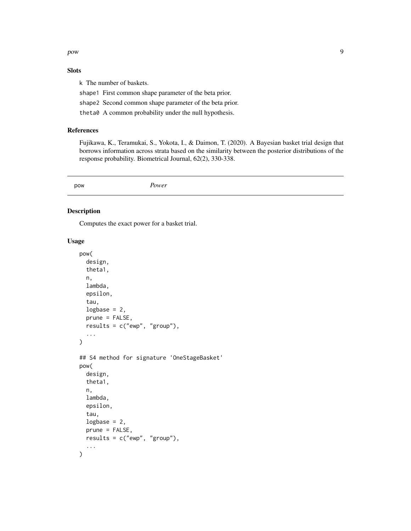<span id="page-8-0"></span>pow 50 and 200 and 200 and 200 and 200 and 200 and 200 and 200 and 200 and 200 and 200 and 200 and 200 and 200

# Slots

k The number of baskets.

shape1 First common shape parameter of the beta prior.

shape2 Second common shape parameter of the beta prior.

theta0 A common probability under the null hypothesis.

# References

Fujikawa, K., Teramukai, S., Yokota, I., & Daimon, T. (2020). A Bayesian basket trial design that borrows information across strata based on the similarity between the posterior distributions of the response probability. Biometrical Journal, 62(2), 330-338.

pow *Power*

# Description

Computes the exact power for a basket trial.

#### Usage

```
pow(
  design,
  theta1,
  n,
  lambda,
  epsilon,
  tau,
  logbase = 2,
  prune = FALSE,
  results = c("ewp", "group"),
  ...
)
## S4 method for signature 'OneStageBasket'
pow(
  design,
  theta1,
  n,
  lambda,
  epsilon,
  tau,
  logbase = 2,
  prune = FALSE,
  results = c("ewp", "group"),
  ...
\mathcal{E}
```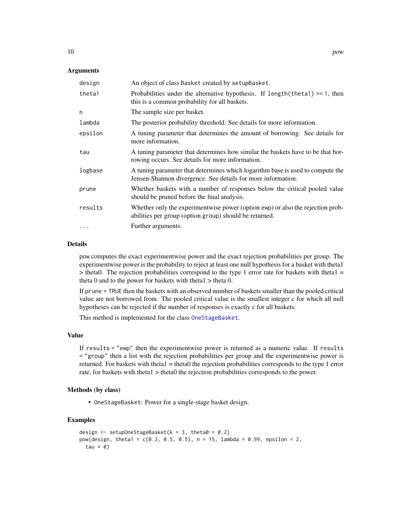#### <span id="page-9-0"></span>**Arguments**

| design    | An object of class Basket created by setupBasket.                                                                                              |
|-----------|------------------------------------------------------------------------------------------------------------------------------------------------|
| theta1    | Probabilities under the alternative hypothesis. If $length(theta1) == 1$ , then<br>this is a common probability for all baskets.               |
| n         | The sample size per basket.                                                                                                                    |
| lambda    | The posterior probability threshold. See details for more information.                                                                         |
| epsilon   | A tuning parameter that determines the amount of borrowing. See details for<br>more information.                                               |
| tau       | A tuning parameter that determines how similar the baskets have to be that bor-<br>rowing occurs. See details for more information.            |
| logbase   | A tuning parameter that determines which logarithm base is used to compute the<br>Jensen-Shannon divergence. See details for more information. |
| prune     | Whether baskets with a number of responses below the critical pooled value<br>should be pruned before the final analysis.                      |
| results   | Whether only the experimentwise power (option ewp) or also the rejection prob-<br>abilities per group (option group) should be returned.       |
| $\ddotsc$ | Further arguments.                                                                                                                             |

# Details

pow computes the exact experimentwise power and the exact rejection probabilities per group. The experimentwise power is the probability to reject at least one null hypothesis for a basket with theta1  $>$  theta0. The rejection probabilities correspond to the type 1 error rate for baskets with theta1 = theta 0 and to the power for baskets with theta $1 >$  theta 0.

If prune = TRUE then the baskets with an observed number of baskets smaller than the pooled critical value are not borrowed from. The pooled critical value is the smallest integer c for which all null hypotheses can be rejected if the number of responses is exactly c for all baskets.

This method is implemented for the class [OneStageBasket](#page-7-1).

### Value

If results = "ewp" then the experimentwise power is returned as a numeric value. If results = "group" then a list with the rejection probabilities per group and the experimentwise power is returned. For baskets with theta1 = theta0 the rejection probabilities corresponds to the type 1 error rate, for baskets with theta1 > theta0 the rejection probabilities corresponds to the power.

#### Methods (by class)

• OneStageBasket: Power for a single-stage basket design.

# Examples

```
design \le setupOneStageBasket(k = 3, theta0 = 0.2)
pow(design, theta1 = c(0.2, 0.5, 0.5), n = 15, lambda = 0.99, epsilon = 2,
 tau = 0
```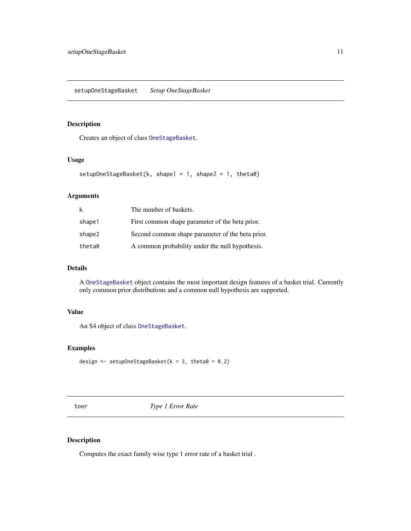# <span id="page-10-0"></span>Description

Creates an object of class [OneStageBasket](#page-7-1).

# Usage

```
setupOneStageBasket(k, shape1 = 1, shape2 = 1, theta0)
```
# Arguments

| k      | The number of baskets.                           |
|--------|--------------------------------------------------|
| shape1 | First common shape parameter of the beta prior.  |
| shape2 | Second common shape parameter of the beta prior. |
| theta0 | A common probability under the null hypothesis.  |

# Details

A [OneStageBasket](#page-7-1) object contains the most important design features of a basket trial. Currently only common prior distributions and a common null hypothesis are supported.

# Value

An S4 object of class [OneStageBasket](#page-7-1).

# Examples

```
design \leq setupOneStageBasket(k = 3, theta0 = 0.2)
```
toer *Type 1 Error Rate*

# Description

Computes the exact family wise type 1 error rate of a basket trial .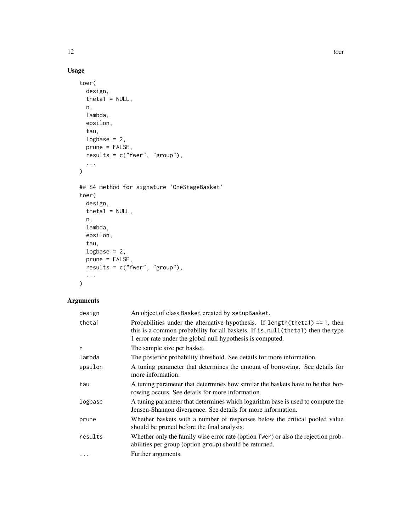# Usage

```
toer(
  design,
  theta1 = NULL,n,
  lambda,
  epsilon,
  tau,
  logbase = 2,
  prune = FALSE,
 results = c("fwer", "group"),
  ...
\mathcal{L}## S4 method for signature 'OneStageBasket'
toer(
  design,
  theta1 = NULL,n,
  lambda,
  epsilon,
  tau,
  logbase = 2,
  prune = FALSE,
 results = c("fwer", "group"),
  ...
\mathcal{L}
```
# Arguments

| design   | An object of class Basket created by setupBasket.                                                                                                                                                                                  |
|----------|------------------------------------------------------------------------------------------------------------------------------------------------------------------------------------------------------------------------------------|
| theta1   | Probabilities under the alternative hypothesis. If $length(theta1) == 1$ , then<br>this is a common probability for all baskets. If is . null (theta1) then the type<br>1 error rate under the global null hypothesis is computed. |
| n        | The sample size per basket.                                                                                                                                                                                                        |
| lambda   | The posterior probability threshold. See details for more information.                                                                                                                                                             |
| epsilon  | A tuning parameter that determines the amount of borrowing. See details for<br>more information.                                                                                                                                   |
| tau      | A tuning parameter that determines how similar the baskets have to be that bor-<br>rowing occurs. See details for more information.                                                                                                |
| logbase  | A tuning parameter that determines which logarithm base is used to compute the<br>Jensen-Shannon divergence. See details for more information.                                                                                     |
| prune    | Whether baskets with a number of responses below the critical pooled value<br>should be pruned before the final analysis.                                                                                                          |
| results  | Whether only the family wise error rate (option fwer) or also the rejection prob-<br>abilities per group (option group) should be returned.                                                                                        |
| $\cdots$ | Further arguments.                                                                                                                                                                                                                 |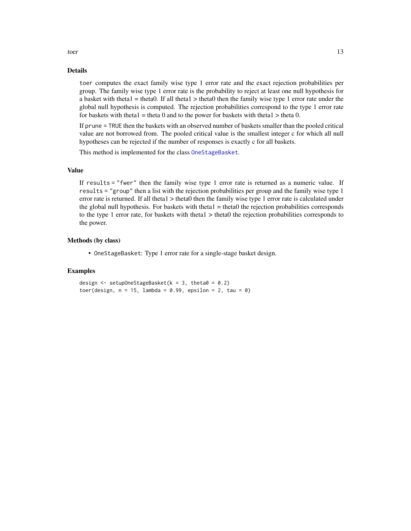#### Details

toer computes the exact family wise type 1 error rate and the exact rejection probabilities per group. The family wise type 1 error rate is the probability to reject at least one null hypothesis for a basket with theta1 = theta0. If all theta1 > theta0 then the family wise type 1 error rate under the global null hypothesis is computed. The rejection probabilities correspond to the type 1 error rate for baskets with theta $1 =$  theta 0 and to the power for baskets with theta $1 >$  theta 0.

If prune = TRUE then the baskets with an observed number of baskets smaller than the pooled critical value are not borrowed from. The pooled critical value is the smallest integer c for which all null hypotheses can be rejected if the number of responses is exactly c for all baskets.

This method is implemented for the class [OneStageBasket](#page-7-1).

# Value

If results = "fwer" then the family wise type 1 error rate is returned as a numeric value. If results = "group" then a list with the rejection probabilities per group and the family wise type 1 error rate is returned. If all theta1 > theta0 then the family wise type 1 error rate is calculated under the global null hypothesis. For baskets with theta $1 =$  theta0 the rejection probabilities corresponds to the type 1 error rate, for baskets with theta1 > theta0 the rejection probabilities corresponds to the power.

#### Methods (by class)

• OneStageBasket: Type 1 error rate for a single-stage basket design.

#### Examples

design  $\le$  setupOneStageBasket(k = 3, theta0 = 0.2) toer(design,  $n = 15$ , lambda = 0.99, epsilon = 2, tau = 0)

<span id="page-12-0"></span>toer 13